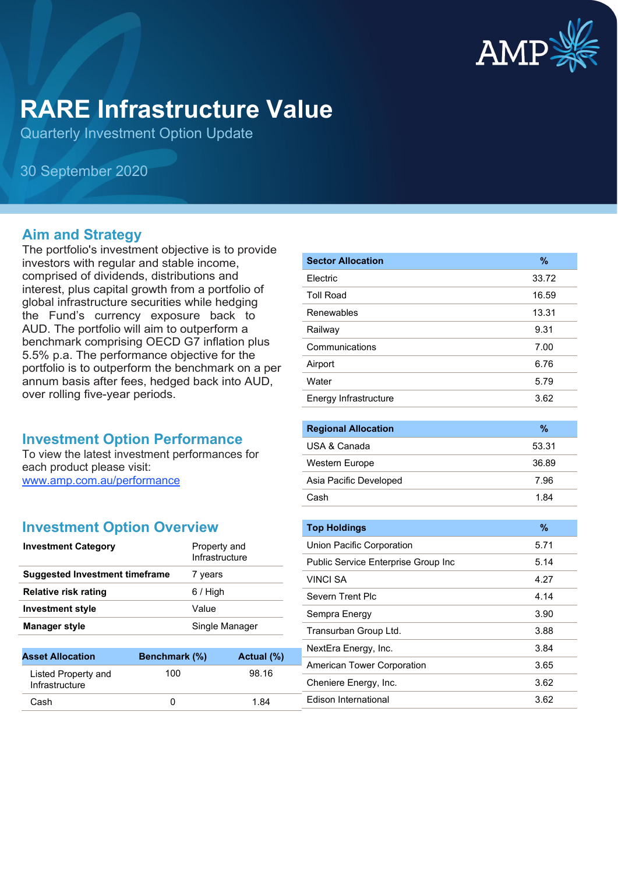

# **RARE Infrastructure Value**

Quarterly Investment Option Update

30 September 2020

#### **Aim and Strategy**

The portfolio's investment objective is to provide investors with regular and stable income, comprised of dividends, distributions and interest, plus capital growth from a portfolio of global infrastructure securities while hedging the Fund's currency exposure back to AUD. The portfolio will aim to outperform a benchmark comprising OECD G7 inflation plus 5.5% p.a. The performance objective for the portfolio is to outperform the benchmark on a per annum basis after fees, hedged back into AUD, over rolling five-year periods.

#### **Investment Option Performance**

To view the latest investment performances for each product please visit: [www.amp.com.au/performance](https://www.amp.com.au/performance)

## **Investment Option Overview**

Listed Property and **Infrastructure** 

| <b>Investment Category</b>            | Property and<br>Infrastructure |
|---------------------------------------|--------------------------------|
| <b>Suggested Investment timeframe</b> | 7 years                        |
| Relative risk rating                  | $6/$ High                      |
| <b>Investment style</b>               | Value                          |
| <b>Manager style</b>                  | Single Manager                 |
|                                       |                                |

**Asset Allocation Benchmark (%) Actual (%)**

Cash 0 1.84

100 98.16

| <b>Sector Allocation</b> | $\%$  |
|--------------------------|-------|
| Electric                 | 33.72 |
| <b>Toll Road</b>         | 16.59 |
| Renewables               | 13.31 |
| Railway                  | 9.31  |
| Communications           | 7.00  |
| Airport                  | 6.76  |
| Water                    | 5.79  |
| Energy Infrastructure    | 3.62  |
|                          |       |

| <b>Regional Allocation</b> | %     |
|----------------------------|-------|
| USA & Canada               | 53.31 |
| <b>Western Europe</b>      | 36.89 |
| Asia Pacific Developed     | 7.96  |
| Cash                       | 1.84  |

| <b>Top Holdings</b>                 | $\%$ |
|-------------------------------------|------|
| Union Pacific Corporation           | 5.71 |
| Public Service Enterprise Group Inc | 5.14 |
| <b>VINCI SA</b>                     | 4.27 |
| Severn Trent Plc                    | 4.14 |
| Sempra Energy                       | 3.90 |
| Transurban Group Ltd.               | 3.88 |
| NextEra Energy, Inc.                | 3.84 |
| American Tower Corporation          | 3.65 |
| Cheniere Energy, Inc.               | 3.62 |
| <b>Edison International</b>         | 3.62 |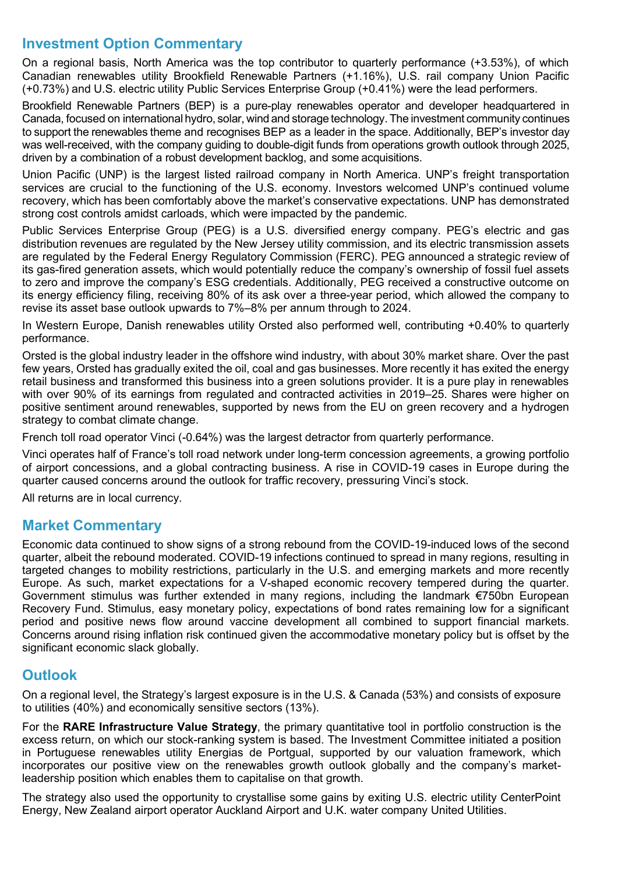## **Investment Option Commentary**

On a regional basis, North America was the top contributor to quarterly performance (+3.53%), of which Canadian renewables utility Brookfield Renewable Partners (+1.16%), U.S. rail company Union Pacific (+0.73%) and U.S. electric utility Public Services Enterprise Group (+0.41%) were the lead performers.

Brookfield Renewable Partners (BEP) is a pure-play renewables operator and developer headquartered in Canada, focused on international hydro, solar, wind and storage technology. The investment community continues to support the renewables theme and recognises BEP as a leader in the space. Additionally, BEP's investor day was well-received, with the company guiding to double-digit funds from operations growth outlook through 2025, driven by a combination of a robust development backlog, and some acquisitions.

Union Pacific (UNP) is the largest listed railroad company in North America. UNP's freight transportation services are crucial to the functioning of the U.S. economy. Investors welcomed UNP's continued volume recovery, which has been comfortably above the market's conservative expectations. UNP has demonstrated strong cost controls amidst carloads, which were impacted by the pandemic.

Public Services Enterprise Group (PEG) is a U.S. diversified energy company. PEG's electric and gas distribution revenues are regulated by the New Jersey utility commission, and its electric transmission assets are regulated by the Federal Energy Regulatory Commission (FERC). PEG announced a strategic review of its gas-fired generation assets, which would potentially reduce the company's ownership of fossil fuel assets to zero and improve the company's ESG credentials. Additionally, PEG received a constructive outcome on its energy efficiency filing, receiving 80% of its ask over a three-year period, which allowed the company to revise its asset base outlook upwards to 7%–8% per annum through to 2024.

In Western Europe, Danish renewables utility Orsted also performed well, contributing +0.40% to quarterly performance.

Orsted is the global industry leader in the offshore wind industry, with about 30% market share. Over the past few years, Orsted has gradually exited the oil, coal and gas businesses. More recently it has exited the energy retail business and transformed this business into a green solutions provider. It is a pure play in renewables with over 90% of its earnings from regulated and contracted activities in 2019–25. Shares were higher on positive sentiment around renewables, supported by news from the EU on green recovery and a hydrogen strategy to combat climate change.

French toll road operator Vinci (-0.64%) was the largest detractor from quarterly performance.

Vinci operates half of France's toll road network under long-term concession agreements, a growing portfolio of airport concessions, and a global contracting business. A rise in COVID-19 cases in Europe during the quarter caused concerns around the outlook for traffic recovery, pressuring Vinci's stock.

All returns are in local currency.

#### **Market Commentary**

Economic data continued to show signs of a strong rebound from the COVID-19-induced lows of the second quarter, albeit the rebound moderated. COVID-19 infections continued to spread in many regions, resulting in targeted changes to mobility restrictions, particularly in the U.S. and emerging markets and more recently Europe. As such, market expectations for a V-shaped economic recovery tempered during the quarter. Government stimulus was further extended in many regions, including the landmark €750bn European Recovery Fund. Stimulus, easy monetary policy, expectations of bond rates remaining low for a significant period and positive news flow around vaccine development all combined to support financial markets. Concerns around rising inflation risk continued given the accommodative monetary policy but is offset by the significant economic slack globally.

## **Outlook**

On a regional level, the Strategy's largest exposure is in the U.S. & Canada (53%) and consists of exposure to utilities (40%) and economically sensitive sectors (13%).

For the **RARE Infrastructure Value Strategy**, the primary quantitative tool in portfolio construction is the excess return, on which our stock-ranking system is based. The Investment Committee initiated a position in Portuguese renewables utility Energias de Portgual, supported by our valuation framework, which incorporates our positive view on the renewables growth outlook globally and the company's marketleadership position which enables them to capitalise on that growth.

The strategy also used the opportunity to crystallise some gains by exiting U.S. electric utility CenterPoint Energy, New Zealand airport operator Auckland Airport and U.K. water company United Utilities.